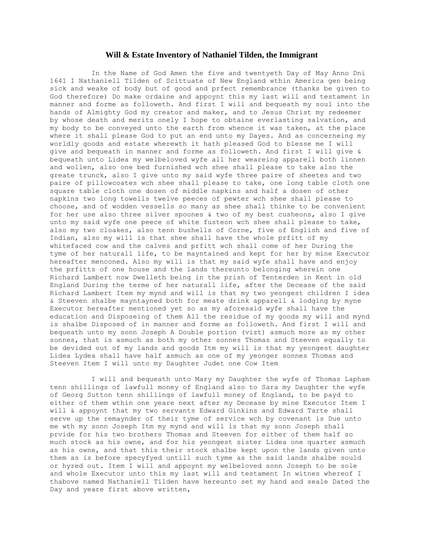#### **Will & Estate Inventory of Nathaniel Tilden, the Immigrant**

 In the Name of God Amen the five and twentyeth Day of May Anno Dni 1641 I Nathaniell Tilden of Scittuate of New England wthin America gen being sick and weake of body but of good and prfect remembrance (thanks be given to God therefore) Do make ordaine and appoynt this my last will and testament in manner and forme as followeth. And first I will and bequeath my soul into the hands of Almighty God my creator and maker, and to Jesus Christ my redeemer by whose death and merits onely I hope to obtaine everlasting salvation, and my body to be conveyed unto the earth from whence it was taken, at the place where it shall please God to put an end unto my Dayes. And as concerneing my worldly goods and estate wherewth it hath pleased God to blesse me I will give and bequeath in manner and forme as followeth. And first I will give & bequeath unto Lidea my welbeloved wyfe all her weareing apparell both linnen and wollen, also one bed furnished wch shee shall please to take also the greate trunck, also I give unto my said wyfe three paire of sheetes and two paire of pillowcoates wch shee shall please to take, one long table cloth one square table cloth one dosen of middle napkins and half a dosen of other napkins two long towells twelve peeces of pewter wch shee shall please to choose, and of wodden vessells so many as shee shall thinke to be convenient for her use also three silver spoones & two of my best cusheons, also I give unto my said wyfe one peece of white fusteon wch shee shall please to take, also my two cloakes, also tenn bushells of Corne, five of English and five of Indian, also my will is that shee shall have the whole prfitt of my whitefaced cow and the calves and prfitt wch shall come of her During the tyme of her naturall life, to be mayntained and kept for her by mine Executor hereafter menconed. Also my will is that my said wyfe shall have and enjoy the prfitts of one house and the lands thereunto belonging wherein one Richard Lambert now Dwelleth being in the prish of Tenterden in Kent in old England During the terme of her naturall life, after the Decease of the said Richard Lambert Item my mynd and will is that my two yeongest children I idea & Steeven shalbe mayntayned both for meate drink apparell & lodging by myne Executor hereafter mentioned yet so as my aforesaid wyfe shall have the education and Disposeing of them All the residue of my goods my will and mynd is shalbe Disposed of in manner and forme as followeth. And first I will and bequeath unto my sonn Joseph A Double portion (vizt) asmuch more as my other sonnes, that is asmuch as both my other sonnes Thomas and Steeven equally to be devided out of my lands and goods Itm my will is that my yeongest daughter Lidea Lydea shall have half asmuch as one of my yeonger sonnes Thomas and Steeven Item I will unto my Daughter Judet one Cow Item

 I will and bequeath unto Mary my Daughter the wyfe of Thomas Lapham tenn shillings of lawfull money of England also to Sara my Daughter the wyfe of Georg Sutton tenn shillings of lawfull money of England, to be payd to either of them wthin one yeare next after my Decease by mine Executor Item I will & appoynt that my two servants Edward Ginkins and Edward Tarte shall serve up the remaynder of their tyme of service wch by covenant is Due unto me wth my sonn Joseph Itm my mynd and will is that my sonn Joseph shall prvide for his two brothers Thomas and Steeven for either of them half so much stock as his owne, and for his yeongest sister Lidea one quarter asmuch as his owne, and that this their stock shalbe kept upon the lands given unto them as is before specyfyed untill such tyme as the said lands shalbe sould or hyred out. Item I will and appoynt my welbeloved sonn Joseph to be sole and whole Executor unto this my last will and testament In witnes whereof I thabove named Nathaniell Tilden have hereunto set my hand and seale Dated the Day and yeare first above written,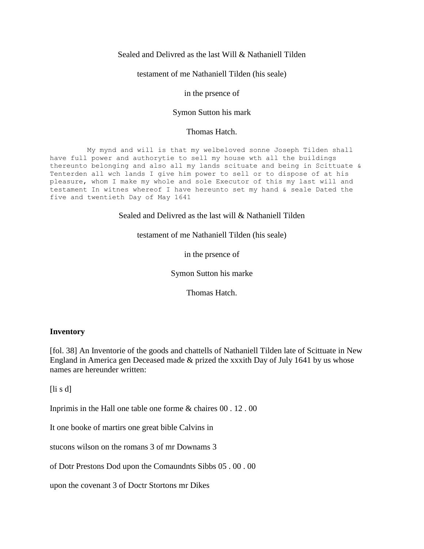# Sealed and Delivred as the last Will & Nathaniell Tilden

testament of me Nathaniell Tilden (his seale)

## in the prsence of

# Symon Sutton his mark

### Thomas Hatch.

 My mynd and will is that my welbeloved sonne Joseph Tilden shall have full power and authorytie to sell my house wth all the buildings thereunto belonging and also all my lands scituate and being in Scittuate & Tenterden all wch lands I give him power to sell or to dispose of at his pleasure, whom I make my whole and sole Executor of this my last will and testament In witnes whereof I have hereunto set my hand & seale Dated the five and twentieth Day of May 1641

Sealed and Delivred as the last will & Nathaniell Tilden

testament of me Nathaniell Tilden (his seale)

in the prsence of

Symon Sutton his marke

Thomas Hatch.

### **Inventory**

[fol. 38] An Inventorie of the goods and chattells of Nathaniell Tilden late of Scittuate in New England in America gen Deceased made & prized the xxxith Day of July 1641 by us whose names are hereunder written:

[li s d]

Inprimis in the Hall one table one forme & chaires 00 . 12 . 00

It one booke of martirs one great bible Calvins in

stucons wilson on the romans 3 of mr Downams 3

of Dotr Prestons Dod upon the Comaundnts Sibbs 05 . 00 . 00

upon the covenant 3 of Doctr Stortons mr Dikes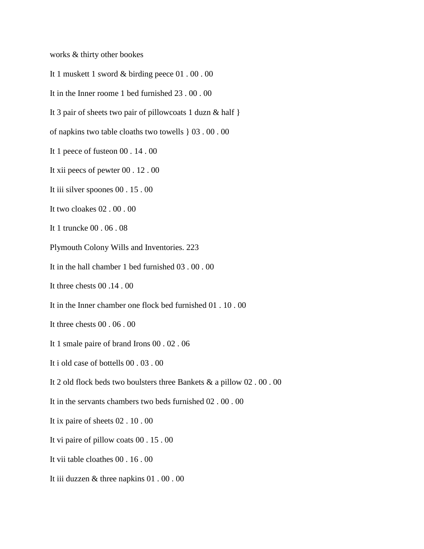works & thirty other bookes

It 1 muskett 1 sword & birding peece 01 . 00 . 00

It in the Inner roome 1 bed furnished 23 . 00 . 00

It 3 pair of sheets two pair of pillowcoats 1 duzn & half }

of napkins two table cloaths two towells } 03 . 00 . 00

- It 1 peece of fusteon 00 . 14 . 00
- It xii peecs of pewter 00 . 12 . 00
- It iii silver spoones 00 . 15 . 00
- It two cloakes 02 . 00 . 00
- It 1 truncke 00 . 06 . 08
- Plymouth Colony Wills and Inventories. 223
- It in the hall chamber 1 bed furnished 03 . 00 . 00
- It three chests 00 .14 . 00
- It in the Inner chamber one flock bed furnished 01 . 10 . 00
- It three chests 00 . 06 . 00
- It 1 smale paire of brand Irons 00 . 02 . 06
- It i old case of bottells 00 . 03 . 00
- It 2 old flock beds two boulsters three Bankets & a pillow 02 . 00 . 00
- It in the servants chambers two beds furnished 02 . 00 . 00
- It ix paire of sheets 02 . 10 . 00
- It vi paire of pillow coats 00 . 15 . 00
- It vii table cloathes 00 . 16 . 00
- It iii duzzen & three napkins 01 . 00 . 00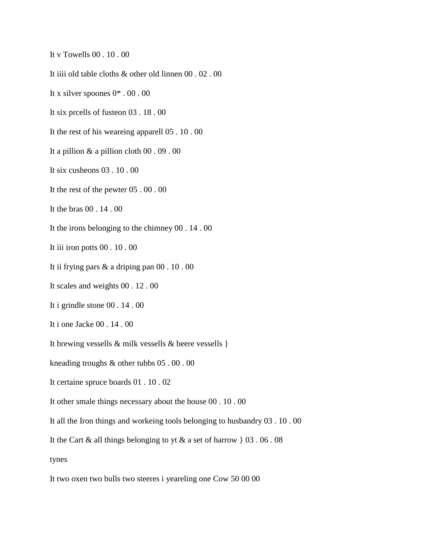It v Towells  $00.10.00$ 

It iiii old table cloths & other old linnen 00 . 02 . 00

It x silver spoones  $0^* \cdot 00 \cdot 00$ 

It six preells of fusteen  $03$ . 18.00

It the rest of his weareing apparell 05 . 10 . 00

It a pillion  $\&$  a pillion cloth 00 . 09 . 00

It six cusheons  $03 \cdot 10 \cdot 00$ 

It the rest of the pewter  $05 \cdot 00 \cdot 00$ 

It the bras 00 . 14 . 00

It the irons belonging to the chimney  $00$ . 14.00

It iii iron potts 00 . 10 . 00

It ii frying pars  $&$  a driping pan 00 . 10 . 00

It scales and weights 00 . 12 . 00

It i grindle stone  $00$ . 14. 00

It i one Jacke 00 . 14 . 00

It brewing vessells  $\&$  milk vessells  $\&$  beere vessells  $\}$ 

kneading troughs & other tubbs 05 .00 .00

It certaine spruce boards 01 . 10 . 02

It other smale things necessary about the house 00 . 10 . 00

It all the Iron things and workeing tools belonging to husbandry 03 . 10 . 00

It the Cart & all things belonging to yt & a set of harrow  $\{ 03, 06, 08 \}$ 

tynes

It two oxen two bulls two steeres i yeareling one Cow 50 00 00